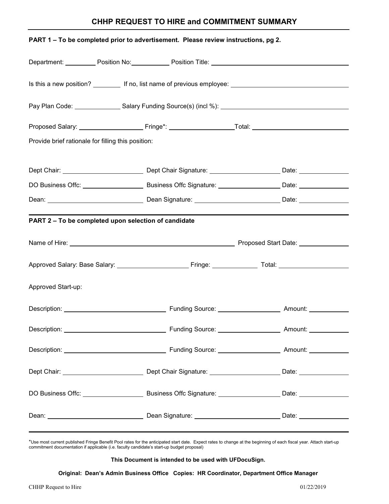# **CHHP REQUEST TO HIRE and COMMITMENT SUMMARY**

| PART 1 - To be completed prior to advertisement. Please review instructions, pg 2. |  |                                                                                                                                        |
|------------------------------------------------------------------------------------|--|----------------------------------------------------------------------------------------------------------------------------------------|
|                                                                                    |  | Department: Position No: Position No: Position Title: Prosition Times Community Community Properties                                   |
|                                                                                    |  |                                                                                                                                        |
|                                                                                    |  |                                                                                                                                        |
|                                                                                    |  |                                                                                                                                        |
| Provide brief rationale for filling this position:                                 |  |                                                                                                                                        |
|                                                                                    |  |                                                                                                                                        |
|                                                                                    |  |                                                                                                                                        |
|                                                                                    |  |                                                                                                                                        |
| PART 2 - To be completed upon selection of candidate                               |  |                                                                                                                                        |
|                                                                                    |  |                                                                                                                                        |
|                                                                                    |  |                                                                                                                                        |
| Approved Start-up:                                                                 |  |                                                                                                                                        |
|                                                                                    |  |                                                                                                                                        |
|                                                                                    |  |                                                                                                                                        |
|                                                                                    |  |                                                                                                                                        |
|                                                                                    |  |                                                                                                                                        |
|                                                                                    |  | DO Business Offc: __________________________________Business Offc Signature: ________________________Date: ___________________________ |
|                                                                                    |  |                                                                                                                                        |

\*Use most current published Fringe Benefit Pool rates for the anticipated start date. Expect rates to change at the beginning of each fiscal year. Attach start-up commitment documentation if applicable (i.e. faculty candidate's start-up budget proposal)

#### **This Document is intended to be used with UFDocuSign.**

**Original: Dean's Admin Business Office Copies: HR Coordinator, Department Office Manager**